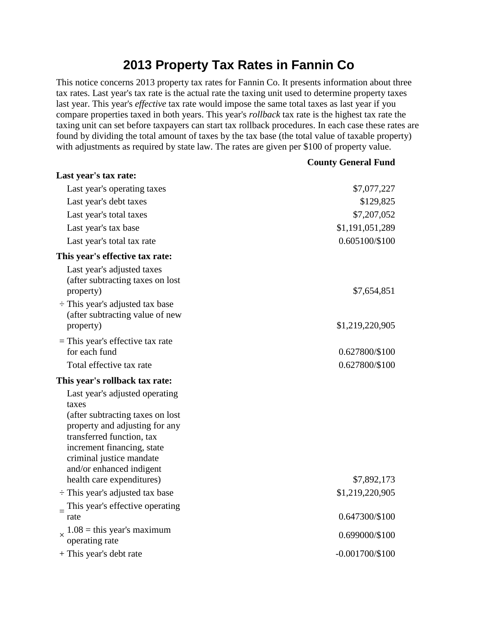## **2013 Property Tax Rates in Fannin Co**

This notice concerns 2013 property tax rates for Fannin Co. It presents information about three tax rates. Last year's tax rate is the actual rate the taxing unit used to determine property taxes last year. This year's *effective* tax rate would impose the same total taxes as last year if you compare properties taxed in both years. This year's *rollback* tax rate is the highest tax rate the taxing unit can set before taxpayers can start tax rollback procedures. In each case these rates are found by dividing the total amount of taxes by the tax base (the total value of taxable property) with adjustments as required by state law. The rates are given per \$100 of property value.

**County General Fund**

| Last year's tax rate:                                                                                                                                                                                                            |                   |
|----------------------------------------------------------------------------------------------------------------------------------------------------------------------------------------------------------------------------------|-------------------|
| Last year's operating taxes                                                                                                                                                                                                      | \$7,077,227       |
| Last year's debt taxes                                                                                                                                                                                                           | \$129,825         |
| Last year's total taxes                                                                                                                                                                                                          | \$7,207,052       |
| Last year's tax base                                                                                                                                                                                                             | \$1,191,051,289   |
| Last year's total tax rate                                                                                                                                                                                                       | 0.605100/\$100    |
| This year's effective tax rate:                                                                                                                                                                                                  |                   |
| Last year's adjusted taxes<br>(after subtracting taxes on lost)<br>property)                                                                                                                                                     | \$7,654,851       |
| $\div$ This year's adjusted tax base<br>(after subtracting value of new<br>property)                                                                                                                                             | \$1,219,220,905   |
| $=$ This year's effective tax rate                                                                                                                                                                                               |                   |
| for each fund                                                                                                                                                                                                                    | 0.627800/\$100    |
| Total effective tax rate                                                                                                                                                                                                         | 0.627800/\$100    |
| This year's rollback tax rate:                                                                                                                                                                                                   |                   |
| Last year's adjusted operating<br>taxes<br>(after subtracting taxes on lost<br>property and adjusting for any<br>transferred function, tax<br>increment financing, state<br>criminal justice mandate<br>and/or enhanced indigent |                   |
| health care expenditures)                                                                                                                                                                                                        | \$7,892,173       |
| $\div$ This year's adjusted tax base                                                                                                                                                                                             | \$1,219,220,905   |
| This year's effective operating<br>$=$<br>rate                                                                                                                                                                                   | 0.647300/\$100    |
| $1.08$ = this year's maximum<br>X<br>operating rate                                                                                                                                                                              | 0.699000/\$100    |
| + This year's debt rate                                                                                                                                                                                                          | $-0.001700/\$100$ |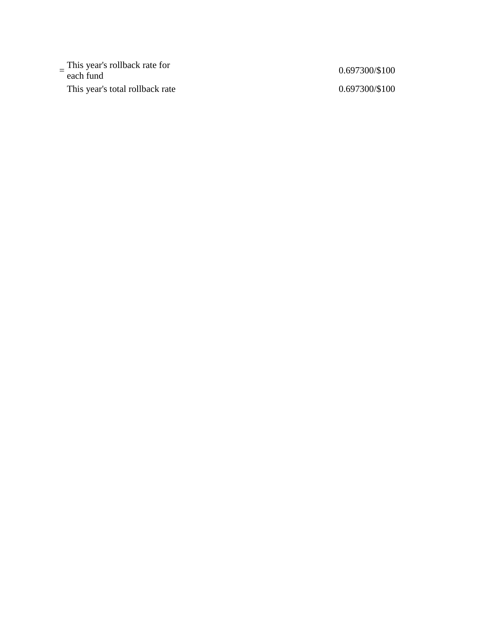$=\frac{\text{This year's rollback rate for}}{\text{each fund}}$  0.697300/\$100 This year's total rollback rate 0.697300/\$100